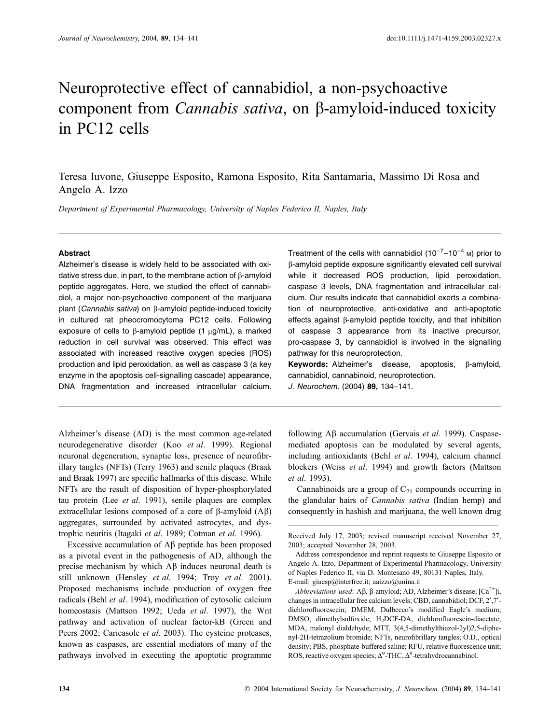# Neuroprotective effect of cannabidiol, a non-psychoactive component from *Cannabis sativa*, on  $\beta$ -amyloid-induced toxicity in PC12 cells

Teresa Iuvone, Giuseppe Esposito, Ramona Esposito, Rita Santamaria, Massimo Di Rosa and Angelo A. Izzo

Department of Experimental Pharmacology, University of Naples Federico II, Naples, Italy

# Abstract

Alzheimer's disease is widely held to be associated with oxidative stress due, in part, to the membrane action of  $\beta$ -amyloid peptide aggregates. Here, we studied the effect of cannabidiol, a major non-psychoactive component of the marijuana plant (Cannabis sativa) on  $\beta$ -amyloid peptide-induced toxicity in cultured rat pheocromocytoma PC12 cells. Following exposure of cells to  $\beta$ -amyloid peptide (1  $\mu$ g/mL), a marked reduction in cell survival was observed. This effect was associated with increased reactive oxygen species (ROS) production and lipid peroxidation, as well as caspase 3 (a key enzyme in the apoptosis cell-signalling cascade) appearance, DNA fragmentation and increased intracellular calcium.

Alzheimer's disease (AD) is the most common age-related neurodegenerative disorder (Koo et al. 1999). Regional neuronal degeneration, synaptic loss, presence of neurofibrillary tangles (NFTs) (Terry 1963) and senile plaques (Braak and Braak 1997) are specific hallmarks of this disease. While NFTs are the result of disposition of hyper-phosphorylated tau protein (Lee et al. 1991), senile plaques are complex extracellular lesions composed of a core of  $\beta$ -amyloid  $(A\beta)$ aggregates, surrounded by activated astrocytes, and dystrophic neuritis (Itagaki et al. 1989; Cotman et al. 1996).

Excessive accumulation of  $\mathbf{A}\beta$  peptide has been proposed as a pivotal event in the pathogenesis of AD, although the precise mechanism by which  $\overrightarrow{AB}$  induces neuronal death is still unknown (Hensley et al. 1994; Troy et al. 2001). Proposed mechanisms include production of oxygen free radicals (Behl et al. 1994), modification of cytosolic calcium homeostasis (Mattson 1992; Ueda et al. 1997), the Wnt pathway and activation of nuclear factor-kB (Green and Peers 2002; Caricasole et al. 2003). The cysteine proteases, known as caspases, are essential mediators of many of the pathways involved in executing the apoptotic programme

Treatment of the cells with cannabidiol (10<sup>-7</sup>-10<sup>-4</sup> <sub>M</sub>) prior to b-amyloid peptide exposure significantly elevated cell survival while it decreased ROS production, lipid peroxidation, caspase 3 levels, DNA fragmentation and intracellular calcium. Our results indicate that cannabidiol exerts a combination of neuroprotective, anti-oxidative and anti-apoptotic effects against  $\beta$ -amyloid peptide toxicity, and that inhibition of caspase 3 appearance from its inactive precursor, pro-caspase 3, by cannabidiol is involved in the signalling pathway for this neuroprotection.

Keywords: Alzheimer's disease, apoptosis,  $\beta$ -amyloid, cannabidiol, cannabinoid, neuroprotection.

J. Neurochem. (2004) 89, 134–141.

following  $\mathbf{A}\beta$  accumulation (Gervais *et al.* 1999). Caspasemediated apoptosis can be modulated by several agents, including antioxidants (Behl et al. 1994), calcium channel blockers (Weiss et al. 1994) and growth factors (Mattson et al. 1993).

Cannabinoids are a group of  $C_{21}$  compounds occurring in the glandular hairs of Cannabis sativa (Indian hemp) and consequently in hashish and marijuana, the well known drug

Received July 17, 2003; revised manuscript received November 27, 2003; accepted November 28, 2003.

Address correspondence and reprint requests to Giuseppe Esposito or Angelo A. Izzo, Department of Experimental Pharmacology, University of Naples Federico II, via D. Montesano 49, 80131 Naples, Italy. E-mail: giuesp@interfree.it; aaizzo@unina.it

*Abbreviations used*: A $\beta$ ,  $\beta$ -amyloid; AD, Alzheimer's disease; [Ca<sup>2+</sup>]i, changes in intracellular free calcium levels; CBD, cannabidiol; DCF, 2', 7'dichlorofluorescein; DMEM, Dulbecco's modified Eagle's medium; DMSO, dimethylsulfoxide; H<sub>2</sub>DCF-DA, dichlorofluorescin-diacetate; MDA, malonyl dialdehyde; MTT, 3(4,5-dimethylthiazol-2yl)2,5-diphenyl-2H-tetrazolium bromide; NFTs, neurofibrillary tangles; O.D., optical density; PBS, phosphate-buffered saline; RFU, relative fluorescence unit; ROS, reactive oxygen species;  $\Delta^9$ -THC,  $\Delta^9$ -tetrahydrocannabinol.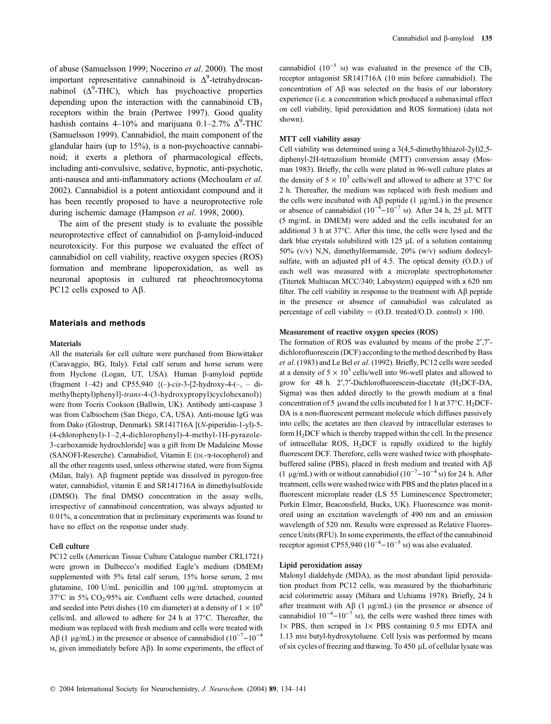of abuse (Samuelsson 1999; Nocerino et al. 2000). The most important representative cannabinoid is  $\Delta^9$ -tetrahydrocannabinol  $(\Delta^9$ -THC), which has psychoactive properties depending upon the interaction with the cannabinoid  $CB_1$ receptors within the brain (Pertwee 1997). Good quality hashish contains 4–10% and marijuana 0.1–2.7%  $\Delta^9$ -THC (Samuelsson 1999). Cannabidiol, the main component of the glandular hairs (up to 15%), is a non-psychoactive cannabinoid; it exerts a plethora of pharmacological effects, including anti-convulsive, sedative, hypnotic, anti-psychotic, anti-nausea and anti-inflammatory actions (Mechoulam et al. 2002). Cannabidiol is a potent antioxidant compound and it has been recently proposed to have a neuroprotective role during ischemic damage (Hampson et al. 1998, 2000).

The aim of the present study is to evaluate the possible neuroprotective effect of cannabidiol on  $\beta$ -amyloid-induced neurotoxicity. For this purpose we evaluated the effect of cannabidiol on cell viability, reactive oxygen species (ROS) formation and membrane lipoperoxidation, as well as neuronal apoptosis in cultured rat pheochromocytoma PC12 cells exposed to  $A\beta$ .

# Materials and methods

#### **Materials**

All the materials for cell culture were purchased from Biowittaker (Caravaggio, BG, Italy). Fetal calf serum and horse serum were from Hyclone (Logan, UT, USA). Human  $\beta$ -amyloid peptide (fragment 1–42) and CP55,940  $\{(-)-cis-3-[2-hydroxy-4-(-,-di-))\}$ methylheptyl)phenyl]-trans-4-(3-hydroxypropyl)cyclohexanol)} were from Tocris Cookson (Ballwin, UK). Antibody anti-caspase 3 was from Calbiochem (San Diego, CA, USA). Anti-mouse IgG was from Dako (Glostrup, Denmark). SR141716A [(N-piperidin-1-yl)-5- (4-chlorophenyl)-1–2,4-dichlorophenyl)-4-methyl-1H-pyrazole-3-carboxamide hydrochloride] was a gift from Dr Madaleine Mosse (SANOFI-Reserche). Cannabidiol, Vitamin E (DL-a-tocopherol) and all the other reagents used, unless otherwise stated, were from Sigma (Milan, Italy). Ab fragment peptide was dissolved in pyrogen-free water, cannabidiol, vitamin E and SR141716A in dimethylsulfoxide (DMSO). The final DMSO concentration in the assay wells, irrespective of cannabinoid concentration, was always adjusted to 0.01%, a concentration that in preliminary experiments was found to have no effect on the response under study.

#### Cell culture

PC12 cells (American Tissue Culture Catalogue number CRL1721) were grown in Dulbecco's modified Eagle's medium (DMEM) supplemented with 5% fetal calf serum, 15% horse serum, 2 mm glutamine, 100 U/mL penicillin and 100  $\mu$ g/mL streptomycin at 37°C in 5% CO<sub>2</sub>/95% air. Confluent cells were detached, counted and seeded into Petri dishes (10 cm diameter) at a density of  $1 \times 10^6$ cells/mL and allowed to adhere for 24 h at 37°C. Thereafter, the medium was replaced with fresh medium and cells were treated with  $\text{A}\beta$  (1 µg/mL) in the presence or absence of cannabidiol (10<sup>-7</sup>-10<sup>-4</sup>  $M$ , given immediately before  $A\beta$ ). In some experiments, the effect of cannabidiol (10<sup>-5</sup> M) was evaluated in the presence of the  $CB_1$ receptor antagonist SR141716A (10 min before cannabidiol). The concentration of Ab was selected on the basis of our laboratory experience (i.e. a concentration which produced a submaximal effect on cell viability, lipid peroxidation and ROS formation) (data not shown).

#### MTT cell viability assay

Cell viability was determined using a 3(4,5-dimethylthiazol-2yl)2,5 diphenyl-2H-tetrazolium bromide (MTT) conversion assay (Mosman 1983). Briefly, the cells were plated in 96-well culture plates at the density of  $5 \times 10^3$  cells/well and allowed to adhere at 37°C for 2 h. Thereafter, the medium was replaced with fresh medium and the cells were incubated with  $\overrightarrow{AB}$  peptide (1 µg/mL) in the presence or absence of cannabidiol  $(10^{-4} - 10^{-7})$  m). After 24 h, 25 µL MTT (5 mg/mL in DMEM) were added and the cells incubated for an additional 3 h at 37°C. After this time, the cells were lysed and the dark blue crystals solubilized with  $125 \mu L$  of a solution containing 50% (v/v) N,N, dimethylformamide, 20% (w/v) sodium dodecylsulfate, with an adjusted pH of 4.5. The optical density (O.D.) of each well was measured with a microplate spectrophotometer (Titertek Multiscan MCC/340; Labsystem) equipped with a 620 nm filter. The cell viability in response to the treatment with  $\mathbf{A}\beta$  peptide in the presence or absence of cannabidiol was calculated as percentage of cell viability = (O.D. treated/O.D. control)  $\times$  100.

#### Measurement of reactive oxygen species (ROS)

The formation of ROS was evaluated by means of the probe 2',7'dichlorofluorescein (DCF) according to the method described by Bass et al. (1983) and Le Bel et al. (1992). Briefly, PC12 cells were seeded at a density of  $5 \times 10^3$  cells/well into 96-well plates and allowed to grow for 48 h.  $2'$ ,7'-Dichlorofluorescein-diacetate (H<sub>2</sub>DCF-DA, Sigma) was then added directly to the growth medium at a final concentration of 5 µm and the cells incubated for 1 h at  $37^{\circ}$ C. H<sub>2</sub>DCF-DA is a non-fluorescent permeant molecule which diffuses passively into cells; the acetates are then cleaved by intracellular esterases to form  $H_2$ DCF which is thereby trapped within the cell. In the presence of intracellular ROS, H2DCF is rapidly oxidized to the highly fluorescent DCF. Therefore, cells were washed twice with phosphatebuffered saline (PBS), placed in fresh medium and treated with  $\overrightarrow{AB}$ (1 µg/mL) with or without cannabidiol ( $10^{-7}$ – $10^{-4}$  M) for 24 h. After treatment, cells were washed twice with PBS and the plates placed in a fluorescent microplate reader (LS 55 Luminescence Spectrometer; Perkin Elmer, Beaconsfield, Bucks, UK). Fluorescence was monitored using an excitation wavelength of 490 nm and an emission wavelength of 520 nm. Results were expressed as Relative Fluorescence Units (RFU). In some experiments, the effect of the cannabinoid receptor agonist CP55,940  $(10^{-8} - 10^{-5})$  M) was also evaluated.

#### Lipid peroxidation assay

Malonyl dialdehyde (MDA), as the most abundant lipid peroxidation product from PC12 cells, was measured by the thiobarbituric acid colorimetric assay (Mihara and Uchiama 1978). Briefly, 24 h after treatment with  $\overrightarrow{AB}$  (1  $\mu$ g/mL) (in the presence or absence of cannabidiol  $10^{-4}$ – $10^{-7}$  M), the cells were washed three times with  $1\times$  PBS, then scraped in  $1\times$  PBS containing 0.5 mm EDTA and 1.13 mM butyl-hydroxytoluene. Cell lysis was performed by means of six cycles of freezing and thawing. To 450 µL of cellular lysate was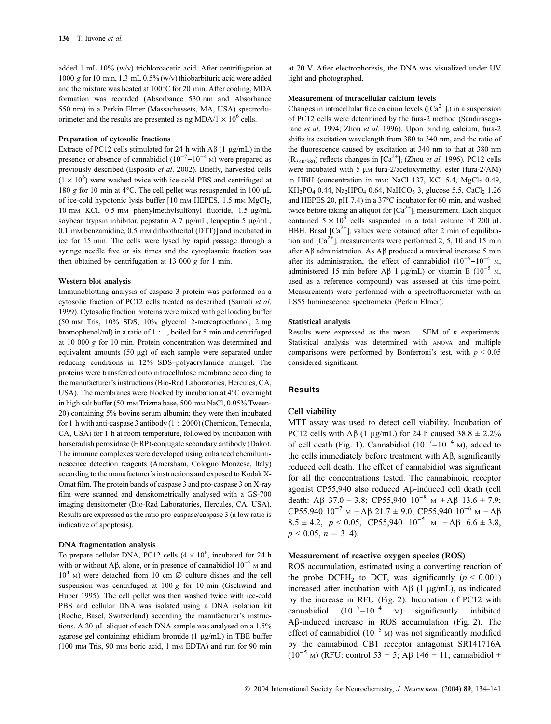added 1 mL 10% (w/v) trichloroacetic acid. After centrifugation at 1000 g for 10 min, 1.3 mL 0.5% (w/v) thiobarbituric acid were added and the mixture was heated at  $100^{\circ}$ C for 20 min. After cooling, MDA formation was recorded (Absorbance 530 nm and Absorbance 550 nm) in a Perkin Elmer (Massachussets, MA, USA) spectrofluorimeter and the results are presented as ng MDA/1  $\times$  10<sup>6</sup> cells.

#### Preparation of cytosolic fractions

Extracts of PC12 cells stimulated for 24 h with  $\overrightarrow{AB}$  (1 µg/mL) in the presence or absence of cannabidiol  $(10^{-7}-10^{-4})$  M) were prepared as previously described (Esposito et al. 2002). Briefly, harvested cells  $(1 \times 10^6)$  were washed twice with ice-cold PBS and centrifuged at 180 g for 10 min at 4 $\rm ^{o}C$ . The cell pellet was resuspended in 100 µL of ice-cold hypotonic lysis buffer [10 mm HEPES, 1.5 mm MgCl<sub>2</sub>, 10 mm KCl, 0.5 mm phenylmethylsulfonyl fluoride, 1.5 µg/mL soybean trypsin inhibitor, pepstatin A 7  $\mu$ g/mL, leupeptin 5  $\mu$ g/mL, 0.1 mm benzamidine, 0.5 mm dithiothreitol (DTT)] and incubated in ice for 15 min. The cells were lysed by rapid passage through a syringe needle five or six times and the cytoplasmic fraction was then obtained by centrifugation at 13 000  $g$  for 1 min.

#### Western blot analysis

Immunoblotting analysis of caspase 3 protein was performed on a cytosolic fraction of PC12 cells treated as described (Samali et al. 1999). Cytosolic fraction proteins were mixed with gel loading buffer (50 mM Tris, 10% SDS, 10% glycerol 2-mercaptoethanol, 2 mg bromophenol/ml) in a ratio of 1 : 1, boiled for 5 min and centrifuged at 10 000 g for 10 min. Protein concentration was determined and equivalent amounts (50 µg) of each sample were separated under reducing conditions in 12% SDS–polyacrylamide minigel. The proteins were transferred onto nitrocellulose membrane according to the manufacturer's instructions (Bio-Rad Laboratories, Hercules, CA, USA). The membranes were blocked by incubation at  $4^{\circ}$ C overnight in high salt buffer (50 mm Trizma base, 500 mm NaCl, 0.05% Tween-20) containing 5% bovine serum albumin; they were then incubated for 1 h with anti-caspase 3 antibody (1 : 2000) (Chemicon, Temecula, CA, USA) for 1 h at room temperature, followed by incubation with horseradish peroxidase (HRP)-conjugate secondary antibody (Dako). The immune complexes were developed using enhanced chemiluminescence detection reagents (Amersham, Cologno Monzese, Italy) according to the manufacturer's instructions and exposed to Kodak X-Omat film. The protein bands of caspase 3 and pro-caspase 3 on X-ray film were scanned and densitometrically analysed with a GS-700 imaging densitometer (Bio-Rad Laboratories, Hercules, CA, USA). Results are expressed as the ratio pro-caspase/caspase 3 (a low ratio is indicative of apoptosis).

#### DNA fragmentation analysis

To prepare cellular DNA, PC12 cells  $(4 \times 10^6)$ , incubated for 24 h with or without A $\beta$ , alone, or in presence of cannabidiol  $10^{-5}$  M and  $10^4$  M) were detached from 10 cm  $\varnothing$  culture dishes and the cell suspension was centrifuged at 100 g for 10 min (Gschwind and Huber 1995). The cell pellet was then washed twice with ice-cold PBS and cellular DNA was isolated using a DNA isolation kit (Roche, Basel, Switzerland) according the manufacturer's instructions. A 20  $\mu$ L aliquot of each DNA sample was analysed on a 1.5% agarose gel containing ethidium bromide  $(1 \mu g/mL)$  in TBE buffer (100 mM Tris, 90 mM boric acid, 1 mM EDTA) and run for 90 min at 70 V. After electrophoresis, the DNA was visualized under UV light and photographed.

## Measurement of intracellular calcium levels

Changes in intracellular free calcium levels  $([Ca<sup>2+</sup>]$ <sub>i</sub>) in a suspension of PC12 cells were determined by the fura-2 method (Sandirasegarane et al. 1994; Zhou et al. 1996). Upon binding calcium, fura-2 shifts its excitation wavelength from 380 to 340 nm, and the ratio of the fluorescence caused by excitation at 340 nm to that at 380 nm  $(R_{340/380})$  reflects changes in  $[Ca^{2+}]$ <sub>i</sub> (Zhou *et al.* 1996). PC12 cells were incubated with 5  $\mu$ m fura-2/acetoxymethyl ester (fura-2/AM) in HBH (concentration in mm: NaCl 137, KCl 5.4, MgCl<sub>2</sub> 0.49,  $KH_{2}PO_{4}$  0.44, Na<sub>2</sub>HPO<sub>4</sub> 0.64, NaHCO<sub>3</sub> 3, glucose 5.5, CaCl<sub>2</sub> 1.26 and HEPES 20, pH 7.4) in a  $37^{\circ}$ C incubator for 60 min, and washed twice before taking an aliquot for  $[Ca^{2+}]$ <sub>i</sub> measurement. Each aliquot contained  $5 \times 10^3$  cells suspended in a total volume of 200 µL HBH. Basal  $\left[\text{Ca}^{2+}\right]$  values were obtained after 2 min of equilibration and  $\lbrack Ca^{2+}\rbrack$  measurements were performed 2, 5, 10 and 15 min after  $\widehat{AB}$  administration. As  $\widehat{AB}$  produced a maximal increase 5 min after its administration, the effect of cannabidiol  $(10^{-6} - 10^{-4})$  M, administered 15 min before A $\beta$  1 µg/mL) or vitamin E (10<sup>-5</sup> M, used as a reference compound) was assessed at this time-point. Measurements were performed with a spectrofluorometer with an LS55 luminescence spectrometer (Perkin Elmer).

#### Statistical analysis

Results were expressed as the mean  $\pm$  SEM of *n* experiments. Statistical analysis was determined with ANOVA and multiple comparisons were performed by Bonferroni's test, with  $p \le 0.05$ considered significant.

## **Results**

#### Cell viability

MTT assay was used to detect cell viability. Incubation of PC12 cells with A $\beta$  (1 µg/mL) for 24 h caused 38.8  $\pm$  2.2% of cell death (Fig. 1). Cannabidiol  $(10^{-7} - 10^{-4})$  m), added to the cells immediately before treatment with  $\overrightarrow{AB}$ , significantly reduced cell death. The effect of cannabidiol was significant for all the concentrations tested. The cannabinoid receptor agonist CP55,940 also reduced Ab-induced cell death (cell death: A $\beta$  37.0  $\pm$  3.8; CP55,940 10<sup>-8</sup> M + A $\beta$  13.6  $\pm$  7.9; CP55,940  $10^{-7}$  M + A $\beta$  21.7 ± 9.0; CP55,940  $10^{-6}$  M + A $\beta$  $8.5 \pm 4.2$ ,  $p < 0.05$ , CP55,940  $10^{-5}$  M + A $\beta$  6.6  $\pm$  3.8,  $p < 0.05$ ,  $n = 3-4$ ).

## Measurement of reactive oxygen species (ROS)

ROS accumulation, estimated using a converting reaction of the probe DCFH<sub>2</sub> to DCF, was significantly ( $p < 0.001$ ) increased after incubation with  $AB(1 \mu g/mL)$ , as indicated by the increase in RFU (Fig. 2). Incubation of PC12 with cannabidiol  $(10^{-7}-10^{-4}$  M) significantly inhibited Ab-induced increase in ROS accumulation (Fig. 2). The effect of cannabidiol  $(10^{-5}$  M) was not significantly modified by the cannabinod CB1 receptor antagonist SR141716A  $(10^{-5}$  M) (RFU: control 53  $\pm$  5; A<sub>B</sub> 146  $\pm$  11; cannabidiol +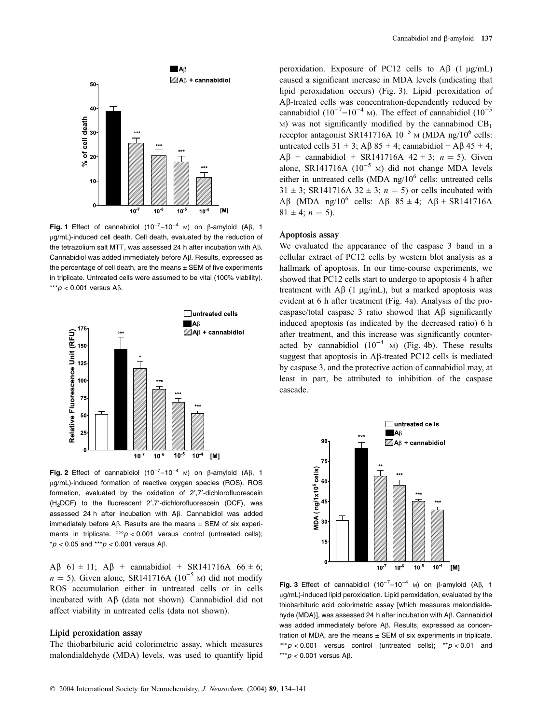

Fig. 1 Effect of cannabidiol  $(10^{-7}-10^{-4}$  M) on  $\beta$ -amyloid  $(AB, 1)$ ug/mL)-induced cell death. Cell death, evaluated by the reduction of the tetrazolium salt MTT, was assessed 24 h after incubation with  $A\beta$ . Cannabidiol was added immediately before  $A\beta$ . Results, expressed as the percentage of cell death, are the means  $\pm$  SEM of five experiments in triplicate. Untreated cells were assumed to be vital (100% viability). \*\*\* $p < 0.001$  versus A $\beta$ .



Fig. 2 Effect of cannabidiol  $(10^{-7}-10^{-4}$  M) on  $\beta$ -amyloid  $(AB, 1)$ ug/mL)-induced formation of reactive oxygen species (ROS). ROS formation, evaluated by the oxidation of 2',7'-dichlorofluorescein  $(H<sub>2</sub>DCF)$  to the fluorescent 2',7'-dichlorofluorescein (DCF), was assessed 24 h after incubation with A<sub>B</sub>. Cannabidiol was added immediately before A $\beta$ . Results are the means  $\pm$  SEM of six experiments in triplicate.  $\cos p < 0.001$  versus control (untreated cells);  $*p < 0.05$  and  $***p < 0.001$  versus A $\beta$ .

A $\beta$  61 ± 11; A $\beta$  + cannabidiol + SR141716A 66 ± 6;  $n = 5$ ). Given alone, SR141716A (10<sup>-5</sup> M) did not modify ROS accumulation either in untreated cells or in cells incubated with  $\overrightarrow{AB}$  (data not shown). Cannabidiol did not affect viability in untreated cells (data not shown).

# Lipid peroxidation assay

The thiobarbituric acid colorimetric assay, which measures malondialdehyde (MDA) levels, was used to quantify lipid

peroxidation. Exposure of PC12 cells to  $\mathbf{A}\beta$  (1 µg/mL) caused a significant increase in MDA levels (indicating that lipid peroxidation occurs) (Fig. 3). Lipid peroxidation of A<sub>B</sub>-treated cells was concentration-dependently reduced by cannabidiol (10<sup>-7</sup>-10<sup>-4</sup> M). The effect of cannabidiol (10<sup>-5</sup>  $M$ ) was not significantly modified by the cannabinod  $CB<sub>1</sub>$ receptor antagonist SR141716A  $10^{-5}$  M (MDA ng/10<sup>6</sup> cells: untreated cells  $31 \pm 3$ ; A $\beta$  85  $\pm$  4; cannabidiol + A $\beta$  45  $\pm$  4;  $\widehat{AB}$  + cannabidiol + SR141716A 42 ± 3; n = 5). Given alone, SR141716A  $(10^{-5}$  M) did not change MDA levels either in untreated cells (MDA ng/ $10^6$  cells: untreated cells 31  $\pm$  3; SR141716A 32  $\pm$  3; n = 5) or cells incubated with A $\beta$  (MDA ng/10<sup>6</sup> cells: A $\beta$  85 ± 4; A $\beta$  + SR141716A  $81 \pm 4$ ;  $n = 5$ ).

# Apoptosis assay

We evaluated the appearance of the caspase 3 band in a cellular extract of PC12 cells by western blot analysis as a hallmark of apoptosis. In our time-course experiments, we showed that PC12 cells start to undergo to apoptosis 4 h after treatment with  $\text{A}\beta$  (1 µg/mL), but a marked apoptosis was evident at 6 h after treatment (Fig. 4a). Analysis of the procaspase/total caspase 3 ratio showed that  $\overrightarrow{AB}$  significantly induced apoptosis (as indicated by the decreased ratio) 6 h after treatment, and this increase was significantly counteracted by cannabidiol  $(10^{-4}$  M) (Fig. 4b). These results suggest that apoptosis in  $\mathsf{A}\beta$ -treated PC12 cells is mediated by caspase 3, and the protective action of cannabidiol may, at least in part, be attributed to inhibition of the caspase cascade.



Fig. 3 Effect of cannabidiol  $(10^{-7}-10^{-4}$  M) on  $\beta$ -amyloid  $($ A $\beta$ , 1 lg/mL)-induced lipid peroxidation. Lipid peroxidation, evaluated by the thiobarbituric acid colorimetric assay [which measures malondialdehyde (MDA)], was assessed 24 h after incubation with A $\beta$ . Cannabidiol was added immediately before A $\beta$ . Results, expressed as concentration of MDA, are the means  $\pm$  SEM of six experiments in triplicate.  $\cos p$  < 0.001 versus control (untreated cells);  $\cos p$  < 0.01 and \*\*\* $p$  < 0.001 versus A $\beta$ .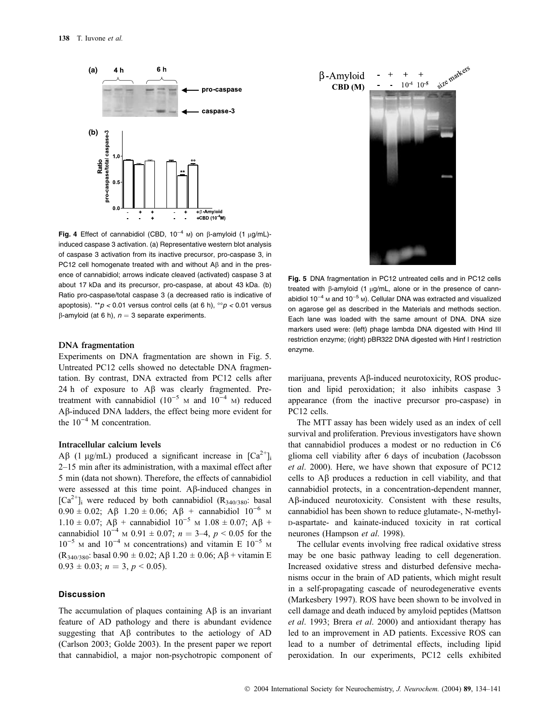

Fig. 4 Effect of cannabidiol (CBD,  $10^{-4}$  M) on  $\beta$ -amyloid (1  $\mu q/mL$ )induced caspase 3 activation. (a) Representative western blot analysis of caspase 3 activation from its inactive precursor, pro-caspase 3, in PC12 cell homogenate treated with and without  $\mathsf{AB}$  and in the presence of cannabidiol; arrows indicate cleaved (activated) caspase 3 at about 17 kDa and its precursor, pro-caspase, at about 43 kDa. (b) Ratio pro-caspase/total caspase 3 (a decreased ratio is indicative of apoptosis). \*\*p < 0.01 versus control cells (at 6 h),  $\degree$ p < 0.01 versus  $\beta$ -amyloid (at 6 h),  $n = 3$  separate experiments.

## DNA fragmentation

Experiments on DNA fragmentation are shown in Fig. 5. Untreated PC12 cells showed no detectable DNA fragmentation. By contrast, DNA extracted from PC12 cells after 24 h of exposure to  $\overrightarrow{AB}$  was clearly fragmented. Pretreatment with cannabidiol  $(10^{-5}$  M and  $10^{-4}$  M) reduced Ab-induced DNA ladders, the effect being more evident for the  $10^{-4}$  M concentration.

## Intracellular calcium levels

AB (1 µg/mL) produced a significant increase in  $[Ca^{2+}]_i$ 2–15 min after its administration, with a maximal effect after 5 min (data not shown). Therefore, the effects of cannabidiol were assessed at this time point.  $\mathbf{A}\beta$ -induced changes in  $[Ca^{2+}]$ <sub>i</sub> were reduced by both cannabidiol (R<sub>340/380</sub>: basal  $0.90 \pm 0.02$ ; A $\beta$  1.20  $\pm$  0.06; A $\beta$  + cannabidiol 10<sup>-6</sup> M  $1.10 \pm 0.07$ ; A $\beta$  + cannabidiol  $10^{-5}$  M  $1.08 \pm 0.07$ ; A $\beta$  + cannabidiol  $10^{-4}$  M 0.91  $\pm$  0.07;  $n = 3-4$ ,  $p < 0.05$  for the  $10^{-5}$  M and  $10^{-4}$  M concentrations) and vitamin E  $10^{-5}$  M  $(R_{340/380}$ : basal 0.90  $\pm$  0.02; A $\beta$  1.20  $\pm$  0.06; A $\beta$  + vitamin E  $0.93 \pm 0.03$ ;  $n = 3$ ,  $p < 0.05$ ).

## **Discussion**

The accumulation of plaques containing  $\overrightarrow{AB}$  is an invariant feature of AD pathology and there is abundant evidence suggesting that  $\overrightarrow{AB}$  contributes to the aetiology of  $\overrightarrow{AD}$ (Carlson 2003; Golde 2003). In the present paper we report that cannabidiol, a major non-psychotropic component of



Fig. 5 DNA fragmentation in PC12 untreated cells and in PC12 cells treated with  $\beta$ -amyloid (1  $\mu$ g/mL, alone or in the presence of cannabidiol  $10^{-4}$  M and  $10^{-5}$  M). Cellular DNA was extracted and visualized on agarose gel as described in the Materials and methods section. Each lane was loaded with the same amount of DNA. DNA size markers used were: (left) phage lambda DNA digested with Hind III restriction enzyme; (right) pBR322 DNA digested with Hinf I restriction enzyme.

marijuana, prevents  $\mathbf{A}\beta$ -induced neurotoxicity, ROS production and lipid peroxidation; it also inhibits caspase 3 appearance (from the inactive precursor pro-caspase) in PC12 cells.

The MTT assay has been widely used as an index of cell survival and proliferation. Previous investigators have shown that cannabidiol produces a modest or no reduction in C6 glioma cell viability after 6 days of incubation (Jacobsson et al. 2000). Here, we have shown that exposure of PC12 cells to  $\overrightarrow{AB}$  produces a reduction in cell viability, and that cannabidiol protects, in a concentration-dependent manner, Ab-induced neurotoxicity. Consistent with these results, cannabidiol has been shown to reduce glutamate-, N-methyl-D-aspartate- and kainate-induced toxicity in rat cortical neurones (Hampson et al. 1998).

The cellular events involving free radical oxidative stress may be one basic pathway leading to cell degeneration. Increased oxidative stress and disturbed defensive mechanisms occur in the brain of AD patients, which might result in a self-propagating cascade of neurodegenerative events (Markesbery 1997). ROS have been shown to be involved in cell damage and death induced by amyloid peptides (Mattson et al. 1993; Brera et al. 2000) and antioxidant therapy has led to an improvement in AD patients. Excessive ROS can lead to a number of detrimental effects, including lipid peroxidation. In our experiments, PC12 cells exhibited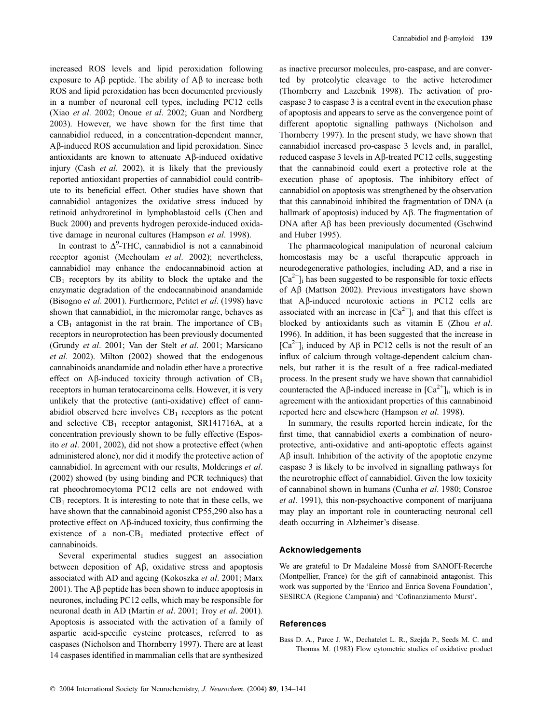increased ROS levels and lipid peroxidation following exposure to  $\overrightarrow{AB}$  peptide. The ability of  $\overrightarrow{AB}$  to increase both ROS and lipid peroxidation has been documented previously in a number of neuronal cell types, including PC12 cells (Xiao et al. 2002; Onoue et al. 2002; Guan and Nordberg 2003). However, we have shown for the first time that cannabidiol reduced, in a concentration-dependent manner, Ab-induced ROS accumulation and lipid peroxidation. Since antioxidants are known to attenuate  $\mathsf{A}\mathsf{B}\text{-induced}$  oxidative injury (Cash *et al.* 2002), it is likely that the previously reported antioxidant properties of cannabidiol could contribute to its beneficial effect. Other studies have shown that cannabidiol antagonizes the oxidative stress induced by retinoid anhydroretinol in lymphoblastoid cells (Chen and Buck 2000) and prevents hydrogen peroxide-induced oxidative damage in neuronal cultures (Hampson et al. 1998).

In contrast to  $\Delta^9$ -THC, cannabidiol is not a cannabinoid receptor agonist (Mechoulam et al. 2002); nevertheless, cannabidiol may enhance the endocannabinoid action at  $CB<sub>1</sub>$  receptors by its ability to block the uptake and the enzymatic degradation of the endocannabinoid anandamide (Bisogno et al. 2001). Furthermore, Petitet et al. (1998) have shown that cannabidiol, in the micromolar range, behaves as a  $CB_1$  antagonist in the rat brain. The importance of  $CB_1$ receptors in neuroprotection has been previously documented (Grundy et al. 2001; Van der Stelt et al. 2001; Marsicano et al. 2002). Milton (2002) showed that the endogenous cannabinoids anandamide and noladin ether have a protective effect on A $\beta$ -induced toxicity through activation of CB<sub>1</sub> receptors in human teratocarcinoma cells. However, it is very unlikely that the protective (anti-oxidative) effect of cannabidiol observed here involves  $CB_1$  receptors as the potent and selective  $CB_1$  receptor antagonist, SR141716A, at a concentration previously shown to be fully effective (Esposito et al. 2001, 2002), did not show a protective effect (when administered alone), nor did it modify the protective action of cannabidiol. In agreement with our results, Molderings et al.  $(2002)$  showed (by using binding and PCR techniques) that rat pheochromocytoma PC12 cells are not endowed with  $CB<sub>1</sub>$  receptors. It is interesting to note that in these cells, we have shown that the cannabinoid agonist CP55,290 also has a protective effect on  $\mathbf{A}\beta$ -induced toxicity, thus confirming the existence of a non- $CB_1$  mediated protective effect of cannabinoids.

Several experimental studies suggest an association between deposition of  $\overrightarrow{AB}$ , oxidative stress and apoptosis associated with AD and ageing (Kokoszka et al. 2001; Marx 2001). The  $\widehat{AB}$  peptide has been shown to induce apoptosis in neurones, including PC12 cells, which may be responsible for neuronal death in AD (Martin et al. 2001; Troy et al. 2001). Apoptosis is associated with the activation of a family of aspartic acid-specific cysteine proteases, referred to as caspases (Nicholson and Thornberry 1997). There are at least 14 caspases identified in mammalian cells that are synthesized

as inactive precursor molecules, pro-caspase, and are converted by proteolytic cleavage to the active heterodimer (Thornberry and Lazebnik 1998). The activation of procaspase 3 to caspase 3 is a central event in the execution phase of apoptosis and appears to serve as the convergence point of different apoptotic signalling pathways (Nicholson and Thornberry 1997). In the present study, we have shown that cannabidiol increased pro-caspase 3 levels and, in parallel, reduced caspase 3 levels in Ab-treated PC12 cells, suggesting that the cannabinoid could exert a protective role at the execution phase of apoptosis. The inhibitory effect of cannabidiol on apoptosis was strengthened by the observation that this cannabinoid inhibited the fragmentation of DNA (a hallmark of apoptosis) induced by  $\overrightarrow{AB}$ . The fragmentation of DNA after  $\mathbf{A}\beta$  has been previously documented (Gschwind and Huber 1995).

The pharmacological manipulation of neuronal calcium homeostasis may be a useful therapeutic approach in neurodegenerative pathologies, including AD, and a rise in  $[Ca^{2+}]$ ; has been suggested to be responsible for toxic effects of  $A\beta$  (Mattson 2002). Previous investigators have shown that Aß-induced neurotoxic actions in PC12 cells are associated with an increase in  $[Ca^{2+}]_i$  and that this effect is blocked by antioxidants such as vitamin E (Zhou et al. 1996). In addition, it has been suggested that the increase in  $[Ca^{2+}]$ <sub>i</sub> induced by A $\beta$  in PC12 cells is not the result of an influx of calcium through voltage-dependent calcium channels, but rather it is the result of a free radical-mediated process. In the present study we have shown that cannabidiol counteracted the A $\beta$ -induced increase in  $[Ca^{2+}]$ ; which is in agreement with the antioxidant properties of this cannabinoid reported here and elsewhere (Hampson et al. 1998).

In summary, the results reported herein indicate, for the first time, that cannabidiol exerts a combination of neuroprotective, anti-oxidative and anti-apoptotic effects against  $\Delta \beta$  insult. Inhibition of the activity of the apoptotic enzyme caspase 3 is likely to be involved in signalling pathways for the neurotrophic effect of cannabidiol. Given the low toxicity of cannabinol shown in humans (Cunha et al. 1980; Consroe et al. 1991), this non-psychoactive component of marijuana may play an important role in counteracting neuronal cell death occurring in Alzheimer's disease.

## Acknowledgements

We are grateful to Dr Madaleine Mosse´ from SANOFI-Recerche (Montpellier, France) for the gift of cannabinoid antagonist. This work was supported by the 'Enrico and Enrica Sovena Foundation', SESIRCA (Regione Campania) and 'Cofinanziamento Murst'.

#### **References**

Bass D. A., Parce J. W., Dechatelet L. R., Szejda P., Seeds M. C. and Thomas M. (1983) Flow cytometric studies of oxidative product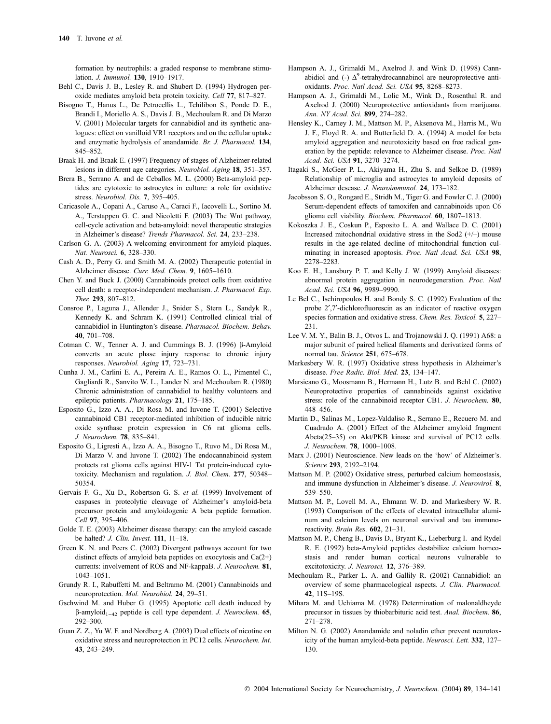formation by neutrophils: a graded response to membrane stimulation. J. Immunol. 130, 1910–1917.

- Behl C., Davis J. B., Lesley R. and Shubert D. (1994) Hydrogen peroxide mediates amyloid beta protein toxicity. Cell 77, 817–827.
- Bisogno T., Hanus L., De Petrocellis L., Tchilibon S., Ponde D. E., Brandi I., Moriello A. S., Davis J. B., Mechoulam R. and Di Marzo V. (2001) Molecular targets for cannabidiol and its synthetic analogues: effect on vanilloid VR1 receptors and on the cellular uptake and enzymatic hydrolysis of anandamide. Br. J. Pharmacol. 134, 845–852.
- Braak H. and Braak E. (1997) Frequency of stages of Alzheimer-related lesions in different age categories. Neurobiol. Aging 18, 351–357.
- Brera B., Serrano A. and de Ceballos M. L. (2000) Beta-amyloid peptides are cytotoxic to astrocytes in culture: a role for oxidative stress. Neurobiol. Dis. 7, 395–405.
- Caricasole A., Copani A., Caruso A., Caraci F., Iacovelli L., Sortino M. A., Terstappen G. C. and Nicoletti F. (2003) The Wnt pathway, cell-cycle activation and beta-amyloid: novel therapeutic strategies in Alzheimer's disease? Trends Pharmacol. Sci. 24, 233–238.
- Carlson G. A. (2003) A welcoming environment for amyloid plaques. Nat. Neurosci. 6, 328–330.
- Cash A. D., Perry G. and Smith M. A. (2002) Therapeutic potential in Alzheimer disease. Curr. Med. Chem. 9, 1605–1610.
- Chen Y. and Buck J. (2000) Cannabinoids protect cells from oxidative cell death: a receptor-independent mechanism. J. Pharmacol. Exp. Ther. 293, 807–812.
- Consroe P., Laguna J., Allender J., Snider S., Stern L., Sandyk R., Kennedy K. and Schram K. (1991) Controlled clinical trial of cannabidiol in Huntington's disease. Pharmacol. Biochem. Behav. 40, 701–708.
- Cotman C. W., Tenner A. J. and Cummings B. J. (1996)  $\beta$ -Amyloid converts an acute phase injury response to chronic injury responses. Neurobiol. Aging 17, 723–731.
- Cunha J. M., Carlini E. A., Pereira A. E., Ramos O. L., Pimentel C., Gagliardi R., Sanvito W. L., Lander N. and Mechoulam R. (1980) Chronic administration of cannabidiol to healthy volunteers and epileptic patients. Pharmacology 21, 175–185.
- Esposito G., Izzo A. A., Di Rosa M. and Iuvone T. (2001) Selective cannabinoid CB1 receptor-mediated inhibition of inducible nitric oxide synthase protein expression in C6 rat glioma cells. J. Neurochem. 78, 835–841.
- Esposito G., Ligresti A., Izzo A. A., Bisogno T., Ruvo M., Di Rosa M., Di Marzo V. and Iuvone T. (2002) The endocannabinoid system protects rat glioma cells against HIV-1 Tat protein-induced cytotoxicity. Mechanism and regulation. J. Biol. Chem. 277, 50348– 50354.
- Gervais F. G., Xu D., Robertson G. S. et al. (1999) Involvement of caspases in proteolytic cleavage of Alzheimer's amyloid-beta precursor protein and amyloidogenic A beta peptide formation. Cell 97, 395–406.
- Golde T. E. (2003) Alzheimer disease therapy: can the amyloid cascade be halted? J. Clin. Invest. 111, 11–18.
- Green K. N. and Peers C. (2002) Divergent pathways account for two distinct effects of amyloid beta peptides on exocytosis and Ca(2+) currents: involvement of ROS and NF-kappaB. J. Neurochem. 81, 1043–1051.
- Grundy R. I., Rabuffetti M. and Beltramo M. (2001) Cannabinoids and neuroprotection. Mol. Neurobiol. 24, 29–51.
- Gschwind M. and Huber G. (1995) Apoptotic cell death induced by  $\beta$ -amyloid<sub>1-42</sub> peptide is cell type dependent. J. Neurochem. 65, 292–300.
- Guan Z. Z., Yu W. F. and Nordberg A. (2003) Dual effects of nicotine on oxidative stress and neuroprotection in PC12 cells. Neurochem. Int. 43, 243–249.
- Hampson A. J., Grimaldi M., Axelrod J. and Wink D. (1998) Cannabidiol and (-)  $\Delta^9$ -tetrahydrocannabinol are neuroprotective antioxidants. Proc. Natl Acad. Sci. USA 95, 8268–8273.
- Hampson A. J., Grimaldi M., Lolic M., Wink D., Rosenthal R. and Axelrod J. (2000) Neuroprotective antioxidants from marijuana. Ann. NY Acad. Sci. 899, 274–282.
- Hensley K., Carney J. M., Mattson M. P., Aksenova M., Harris M., Wu J. F., Floyd R. A. and Butterfield D. A. (1994) A model for beta amyloid aggregation and neurotoxicity based on free radical generation by the peptide: relevance to Alzheimer disease. Proc. Natl Acad. Sci. USA 91, 3270–3274.
- Itagaki S., McGeer P. L., Akiyama H., Zhu S. and Selkoe D. (1989) Relationship of microglia and astrocytes to amyloid deposits of Alzheimer desease. J. Neuroimmunol. 24, 173–182.
- Jacobsson S. O., Rongard E., Stridh M., Tiger G. and Fowler C. J. (2000) Serum-dependent effects of tamoxifen and cannabinoids upon C6 glioma cell viability. Biochem. Pharmacol. 60, 1807–1813.
- Kokoszka J. E., Coskun P., Esposito L. A. and Wallace D. C. (2001) Increased mitochondrial oxidative stress in the Sod2 (+/–) mouse results in the age-related decline of mitochondrial function culminating in increased apoptosis. Proc. Natl Acad. Sci. USA 98, 2278–2283.
- Koo E. H., Lansbury P. T. and Kelly J. W. (1999) Amyloid diseases: abnormal protein aggregation in neurodegeneration. Proc. Natl Acad. Sci. USA 96, 9989–9990.
- Le Bel C., Ischiropoulos H. and Bondy S. C. (1992) Evaluation of the probe 2',7'-dichlorofluorescin as an indicator of reactive oxygen species formation and oxidative stress. Chem. Res. Toxicol. 5, 227– 231.
- Lee V. M. Y., Balin B. J., Otvos L. and Trojanowski J. Q. (1991) A68: a major subunit of paired helical filaments and derivatized forms of normal tau. Science 251, 675–678.
- Markesbery W. R. (1997) Oxidative stress hypothesis in Alzheimer's disease. Free Radic. Biol. Med. 23, 134–147.
- Marsicano G., Moosmann B., Hermann H., Lutz B. and Behl C. (2002) Neuroprotective properties of cannabinoids against oxidative stress: role of the cannabinoid receptor CB1. J. Neurochem. 80, 448–456.
- Martin D., Salinas M., Lopez-Valdaliso R., Serrano E., Recuero M. and Cuadrado A. (2001) Effect of the Alzheimer amyloid fragment Abeta(25–35) on Akt/PKB kinase and survival of PC12 cells. J. Neurochem. 78, 1000–1008.
- Marx J. (2001) Neuroscience. New leads on the 'how' of Alzheimer's. Science 293, 2192–2194.
- Mattson M. P. (2002) Oxidative stress, perturbed calcium homeostasis, and immune dysfunction in Alzheimer's disease. J. Neurovirol. 8, 539–550.
- Mattson M. P., Lovell M. A., Ehmann W. D. and Markesbery W. R. (1993) Comparison of the effects of elevated intracellular aluminum and calcium levels on neuronal survival and tau immunoreactivity. Brain Res. 602, 21–31.
- Mattson M. P., Cheng B., Davis D., Bryant K., Lieberburg I. and Rydel R. E. (1992) beta-Amyloid peptides destabilize calcium homeostasis and render human cortical neurons vulnerable to excitotoxicity. J. Neurosci. 12, 376–389.
- Mechoulam R., Parker L. A. and Gallily R. (2002) Cannabidiol: an overview of some pharmacological aspects. J. Clin. Pharmacol. 42, 11S–19S.
- Mihara M. and Uchiama M. (1978) Determination of malonaldheyde precursor in tissues by thiobarbituric acid test. Anal. Biochem. 86, 271–278.
- Milton N. G. (2002) Anandamide and noladin ether prevent neurotoxicity of the human amyloid-beta peptide. Neurosci. Lett. 332, 127– 130.